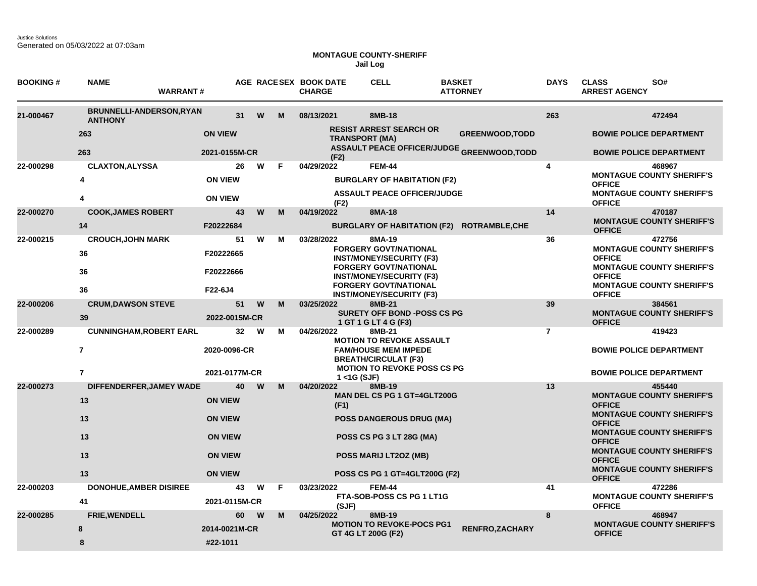Justice Solutions Generated on 05/03/2022 at 07:03am

## **MONTAGUE COUNTY-SHERIFF Jail Log**

| <b>BOOKING#</b> | <b>NAME</b><br><b>WARRANT#</b>                    |                |    |         | AGE RACESEX BOOK DATE<br><b>CHARGE</b> | <b>CELL</b>                                                     | <b>BASKET</b> | <b>ATTORNEY</b>                                   | <b>DAYS</b>    | <b>CLASS</b><br><b>ARREST AGENCY</b> | SO#                                        |
|-----------------|---------------------------------------------------|----------------|----|---------|----------------------------------------|-----------------------------------------------------------------|---------------|---------------------------------------------------|----------------|--------------------------------------|--------------------------------------------|
| 21-000467       | <b>BRUNNELLI-ANDERSON, RYAN</b><br><b>ANTHONY</b> |                | 31 | W<br>M  | 08/13/2021                             | 8MB-18                                                          |               |                                                   | 263            |                                      | 472494                                     |
|                 | 263                                               | <b>ON VIEW</b> |    |         |                                        | <b>RESIST ARREST SEARCH OR</b><br><b>TRANSPORT (MA)</b>         |               | <b>GREENWOOD, TODD</b>                            |                |                                      | <b>BOWIE POLICE DEPARTMENT</b>             |
|                 | 263                                               | 2021-0155M-CR  |    |         | (F2)                                   |                                                                 |               | <b>ASSAULT PEACE OFFICER/JUDGE GREENWOOD,TODD</b> |                |                                      | <b>BOWIE POLICE DEPARTMENT</b>             |
| 22-000298       | <b>CLAXTON, ALYSSA</b>                            |                | 26 | w<br>F  | 04/29/2022                             | <b>FEM-44</b>                                                   |               |                                                   | 4              |                                      | 468967                                     |
|                 | 4                                                 | <b>ON VIEW</b> |    |         |                                        | <b>BURGLARY OF HABITATION (F2)</b>                              |               |                                                   |                | <b>OFFICE</b>                        | <b>MONTAGUE COUNTY SHERIFF'S</b>           |
|                 | 4                                                 | <b>ON VIEW</b> |    |         | (F2)                                   | <b>ASSAULT PEACE OFFICER/JUDGE</b>                              |               |                                                   |                | <b>OFFICE</b>                        | <b>MONTAGUE COUNTY SHERIFF'S</b>           |
| 22-000270       | <b>COOK, JAMES ROBERT</b>                         |                | 43 | W<br>M  | 04/19/2022                             | 8MA-18                                                          |               |                                                   | 14             |                                      | 470187                                     |
|                 | 14                                                | F20222684      |    |         |                                        | BURGLARY OF HABITATION (F2) ROTRAMBLE, CHE                      |               |                                                   |                | <b>OFFICE</b>                        | <b>MONTAGUE COUNTY SHERIFF'S</b>           |
| 22-000215       | <b>CROUCH, JOHN MARK</b>                          |                | 51 | W<br>м  | 03/28/2022                             | 8MA-19<br><b>FORGERY GOVT/NATIONAL</b>                          |               |                                                   | 36             |                                      | 472756<br><b>MONTAGUE COUNTY SHERIFF'S</b> |
|                 | 36                                                | F20222665      |    |         |                                        | <b>INST/MONEY/SECURITY (F3)</b>                                 |               |                                                   |                | <b>OFFICE</b>                        |                                            |
|                 | 36                                                | F20222666      |    |         |                                        | <b>FORGERY GOVT/NATIONAL</b><br><b>INST/MONEY/SECURITY (F3)</b> |               |                                                   |                | <b>OFFICE</b>                        | <b>MONTAGUE COUNTY SHERIFF'S</b>           |
|                 | 36                                                | F22-6J4        |    |         |                                        | <b>FORGERY GOVT/NATIONAL</b><br><b>INST/MONEY/SECURITY (F3)</b> |               |                                                   |                | <b>OFFICE</b>                        | <b>MONTAGUE COUNTY SHERIFF'S</b>           |
| 22-000206       | <b>CRUM, DAWSON STEVE</b>                         |                | 51 | W<br>M  | 03/25/2022                             | 8MB-21                                                          |               |                                                   | 39             |                                      | 384561                                     |
|                 | 39                                                | 2022-0015M-CR  |    |         |                                        | <b>SURETY OFF BOND -POSS CS PG</b><br>1 GT 1 G LT 4 G (F3)      |               |                                                   |                | <b>OFFICE</b>                        | <b>MONTAGUE COUNTY SHERIFF'S</b>           |
| 22-000289       | <b>CUNNINGHAM, ROBERT EARL</b>                    |                | 32 | W<br>M  | 04/26/2022                             | 8MB-21<br><b>MOTION TO REVOKE ASSAULT</b>                       |               |                                                   | $\overline{7}$ |                                      | 419423                                     |
|                 | $\overline{7}$                                    | 2020-0096-CR   |    |         |                                        | <b>FAM/HOUSE MEM IMPEDE</b><br><b>BREATH/CIRCULAT (F3)</b>      |               |                                                   |                | <b>BOWIE POLICE DEPARTMENT</b>       |                                            |
|                 | $\overline{7}$                                    | 2021-0177M-CR  |    |         | $1 <$ 1G (SJF)                         | <b>MOTION TO REVOKE POSS CS PG</b>                              |               |                                                   |                | <b>BOWIE POLICE DEPARTMENT</b>       |                                            |
| 22-000273       | DIFFENDERFER, JAMEY WADE                          |                | 40 | W<br>M  | 04/20/2022                             | 8MB-19                                                          |               |                                                   | 13             |                                      | 455440                                     |
|                 | 13                                                | <b>ON VIEW</b> |    |         | (F1)                                   | MAN DEL CS PG 1 GT=4GLT200G                                     |               |                                                   |                | <b>OFFICE</b>                        | <b>MONTAGUE COUNTY SHERIFF'S</b>           |
|                 | 13                                                | <b>ON VIEW</b> |    |         |                                        | <b>POSS DANGEROUS DRUG (MA)</b>                                 |               |                                                   |                | <b>OFFICE</b>                        | <b>MONTAGUE COUNTY SHERIFF'S</b>           |
|                 | 13                                                | <b>ON VIEW</b> |    |         |                                        | POSS CS PG 3 LT 28G (MA)                                        |               |                                                   |                | <b>OFFICE</b>                        | <b>MONTAGUE COUNTY SHERIFF'S</b>           |
|                 | 13                                                | <b>ON VIEW</b> |    |         |                                        | <b>POSS MARIJ LT2OZ (MB)</b>                                    |               |                                                   |                | <b>OFFICE</b>                        | <b>MONTAGUE COUNTY SHERIFF'S</b>           |
|                 | 13                                                | <b>ON VIEW</b> |    |         |                                        | <b>POSS CS PG 1 GT=4GLT200G (F2)</b>                            |               |                                                   |                | <b>OFFICE</b>                        | <b>MONTAGUE COUNTY SHERIFF'S</b>           |
| 22-000203       | <b>DONOHUE, AMBER DISIREE</b>                     |                | 43 | W<br>F. | 03/23/2022                             | <b>FEM-44</b>                                                   |               |                                                   | 41             |                                      | 472286                                     |
|                 | 41                                                | 2021-0115M-CR  |    |         | (SJF)                                  | FTA-SOB-POSS CS PG 1 LT1G                                       |               |                                                   |                | <b>OFFICE</b>                        | <b>MONTAGUE COUNTY SHERIFF'S</b>           |
| 22-000285       | <b>FRIE, WENDELL</b>                              |                | 60 | W<br>М  | 04/25/2022                             | 8MB-19                                                          |               |                                                   | 8              |                                      | 468947<br><b>MONTAGUE COUNTY SHERIFF'S</b> |
|                 | 8                                                 | 2014-0021M-CR  |    |         |                                        | <b>MOTION TO REVOKE-POCS PG1</b><br>GT 4G LT 200G (F2)          |               | <b>RENFRO, ZACHARY</b>                            |                | <b>OFFICE</b>                        |                                            |
|                 | 8                                                 | #22-1011       |    |         |                                        |                                                                 |               |                                                   |                |                                      |                                            |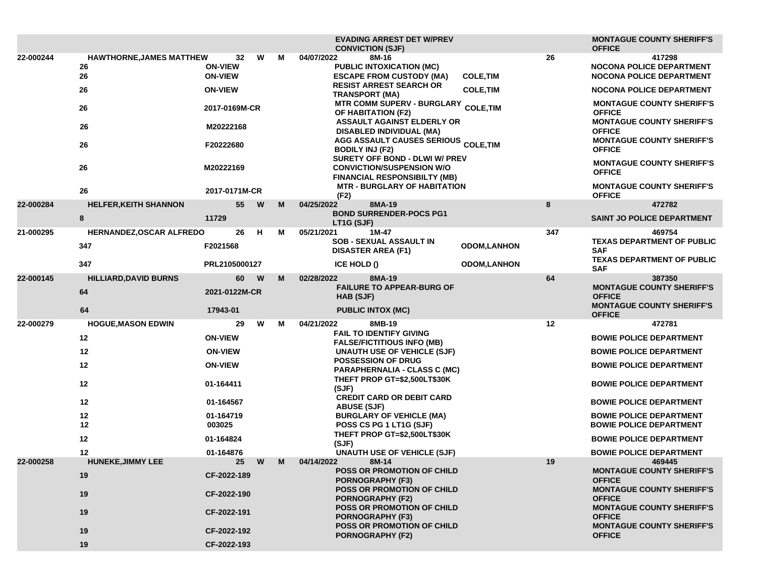|           |                                             |                                        |   |   | <b>EVADING ARREST DET W/PREV</b><br><b>CONVICTION (SJF)</b>                                        |                    |     | <b>MONTAGUE COUNTY SHERIFF'S</b><br><b>OFFICE</b>                                     |
|-----------|---------------------------------------------|----------------------------------------|---|---|----------------------------------------------------------------------------------------------------|--------------------|-----|---------------------------------------------------------------------------------------|
| 22-000244 | <b>HAWTHORNE, JAMES MATTHEW</b><br>26<br>26 | 32<br><b>ON-VIEW</b><br><b>ON-VIEW</b> | W | м | 04/07/2022<br>8M-16<br><b>PUBLIC INTOXICATION (MC)</b><br><b>ESCAPE FROM CUSTODY (MA)</b>          | <b>COLE, TIM</b>   | 26  | 417298<br>NOCONA POLICE DEPARTMENT<br><b>NOCONA POLICE DEPARTMENT</b>                 |
|           | 26                                          | <b>ON-VIEW</b>                         |   |   | <b>RESIST ARREST SEARCH OR</b>                                                                     | <b>COLE, TIM</b>   |     | <b>NOCONA POLICE DEPARTMENT</b>                                                       |
|           | 26                                          | 2017-0169M-CR                          |   |   | <b>TRANSPORT (MA)</b><br>MTR COMM SUPERV - BURGLARY COLE, TIM<br>OF HABITATION (F2)                |                    |     | <b>MONTAGUE COUNTY SHERIFF'S</b><br><b>OFFICE</b>                                     |
|           | 26                                          | M20222168                              |   |   | <b>ASSAULT AGAINST ELDERLY OR</b><br><b>DISABLED INDIVIDUAL (MA)</b><br>AGG ASSAULT CAUSES SERIOUS |                    |     | <b>MONTAGUE COUNTY SHERIFF'S</b><br><b>OFFICE</b><br><b>MONTAGUE COUNTY SHERIFF'S</b> |
|           | 26                                          | F20222680                              |   |   | <b>BODILY INJ (F2)</b><br>SURETY OFF BOND - DLWI W/ PREV                                           | <b>COLE, TIM</b>   |     | <b>OFFICE</b>                                                                         |
|           | 26                                          | M20222169                              |   |   | <b>CONVICTION/SUSPENSION W/O</b><br><b>FINANCIAL RESPONSIBILTY (MB)</b>                            |                    |     | <b>MONTAGUE COUNTY SHERIFF'S</b><br><b>OFFICE</b>                                     |
|           | 26                                          | 2017-0171M-CR                          |   |   | <b>MTR - BURGLARY OF HABITATION</b><br>(F2)                                                        |                    |     | <b>MONTAGUE COUNTY SHERIFF'S</b><br><b>OFFICE</b>                                     |
| 22-000284 | <b>HELFER, KEITH SHANNON</b>                | 55                                     | W | M | 04/25/2022<br>8MA-19                                                                               |                    | 8   | 472782                                                                                |
|           | 8                                           | 11729                                  |   |   | <b>BOND SURRENDER-POCS PG1</b><br>LT1G (SJF)                                                       |                    |     | SAINT JO POLICE DEPARTMENT                                                            |
| 21-000295 | HERNANDEZ, OSCAR ALFREDO<br>347             | 26<br>F2021568                         | н | М | 05/21/2021<br>1M-47<br><b>SOB - SEXUAL ASSAULT IN</b><br><b>DISASTER AREA (F1)</b>                 | <b>ODOM,LANHON</b> | 347 | 469754<br><b>TEXAS DEPARTMENT OF PUBLIC</b><br><b>SAF</b>                             |
|           | 347                                         | PRL2105000127                          |   |   | ICE HOLD ()                                                                                        | <b>ODOM,LANHON</b> |     | <b>TEXAS DEPARTMENT OF PUBLIC</b><br><b>SAF</b>                                       |
| 22-000145 | <b>HILLIARD, DAVID BURNS</b>                | 60                                     | W | M | 8MA-19<br>02/28/2022                                                                               |                    | 64  | 387350                                                                                |
|           | 64                                          | 2021-0122M-CR                          |   |   | <b>FAILURE TO APPEAR-BURG OF</b><br>HAB (SJF)                                                      |                    |     | <b>MONTAGUE COUNTY SHERIFF'S</b><br><b>OFFICE</b><br><b>MONTAGUE COUNTY SHERIFF'S</b> |
|           | 64                                          | 17943-01                               |   |   | <b>PUBLIC INTOX (MC)</b>                                                                           |                    |     | <b>OFFICE</b>                                                                         |
| 22-000279 | <b>HOGUE, MASON EDWIN</b>                   | 29                                     | W | М | 04/21/2022<br>8MB-19<br><b>FAIL TO IDENTIFY GIVING</b>                                             |                    | 12  | 472781                                                                                |
|           | 12                                          | <b>ON-VIEW</b>                         |   |   | <b>FALSE/FICTITIOUS INFO (MB)</b>                                                                  |                    |     | <b>BOWIE POLICE DEPARTMENT</b>                                                        |
|           | 12                                          | <b>ON-VIEW</b>                         |   |   | UNAUTH USE OF VEHICLE (SJF)                                                                        |                    |     | <b>BOWIE POLICE DEPARTMENT</b>                                                        |
|           | 12                                          | <b>ON-VIEW</b>                         |   |   | POSSESSION OF DRUG<br><b>PARAPHERNALIA - CLASS C (MC)</b>                                          |                    |     | <b>BOWIE POLICE DEPARTMENT</b>                                                        |
|           | 12                                          | 01-164411                              |   |   | THEFT PROP GT=\$2,500LT\$30K<br>(SJF)                                                              |                    |     | <b>BOWIE POLICE DEPARTMENT</b>                                                        |
|           | 12                                          | 01-164567                              |   |   | <b>CREDIT CARD OR DEBIT CARD</b><br><b>ABUSE (SJF)</b>                                             |                    |     | <b>BOWIE POLICE DEPARTMENT</b>                                                        |
|           | 12<br>12                                    | 01-164719<br>003025                    |   |   | <b>BURGLARY OF VEHICLE (MA)</b><br>POSS CS PG 1 LT1G (SJF)                                         |                    |     | <b>BOWIE POLICE DEPARTMENT</b><br><b>BOWIE POLICE DEPARTMENT</b>                      |
|           | 12                                          | 01-164824                              |   |   | THEFT PROP GT=\$2,500LT\$30K<br>(SJF)                                                              |                    |     | <b>BOWIE POLICE DEPARTMENT</b>                                                        |
|           | 12                                          | 01-164876                              |   |   | <b>UNAUTH USE OF VEHICLE (SJF)</b>                                                                 |                    |     | <b>BOWIE POLICE DEPARTMENT</b>                                                        |
| 22-000258 | <b>HUNEKE, JIMMY LEE</b>                    | 25                                     | W | M | 04/14/2022<br>8M-14                                                                                |                    | 19  | 469445                                                                                |
|           | 19                                          | CF-2022-189                            |   |   | <b>POSS OR PROMOTION OF CHILD</b><br><b>PORNOGRAPHY (F3)</b><br><b>POSS OR PROMOTION OF CHILD</b>  |                    |     | <b>MONTAGUE COUNTY SHERIFF'S</b><br><b>OFFICE</b><br><b>MONTAGUE COUNTY SHERIFF'S</b> |
|           | 19                                          | CF-2022-190                            |   |   | <b>PORNOGRAPHY (F2)</b>                                                                            |                    |     | <b>OFFICE</b>                                                                         |
|           | 19                                          | CF-2022-191                            |   |   | POSS OR PROMOTION OF CHILD<br><b>PORNOGRAPHY (F3)</b><br><b>POSS OR PROMOTION OF CHILD</b>         |                    |     | <b>MONTAGUE COUNTY SHERIFF'S</b><br><b>OFFICE</b><br><b>MONTAGUE COUNTY SHERIFF'S</b> |
|           | 19                                          | CF-2022-192                            |   |   | <b>PORNOGRAPHY (F2)</b>                                                                            |                    |     | <b>OFFICE</b>                                                                         |
|           | 19                                          | CF-2022-193                            |   |   |                                                                                                    |                    |     |                                                                                       |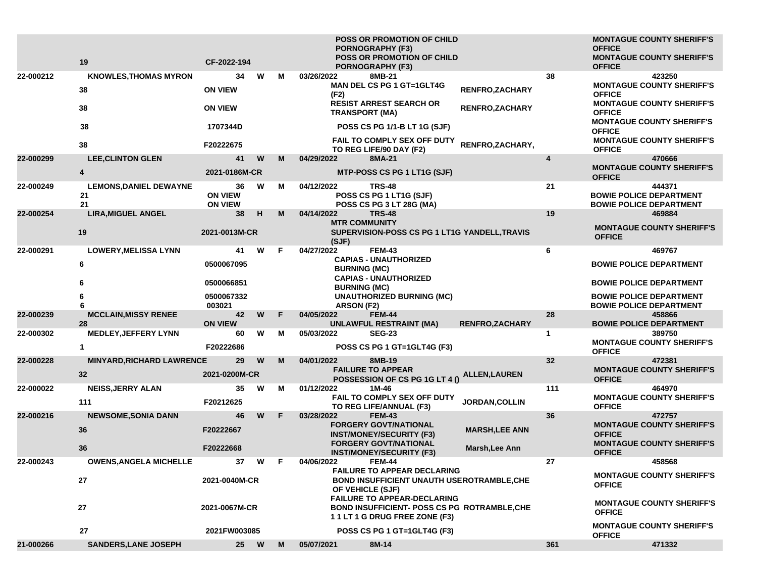|           | 19                                        | CF-2022-194                            |   |    | <b>POSS OR PROMOTION OF CHILD</b><br><b>PORNOGRAPHY (F3)</b><br><b>POSS OR PROMOTION OF CHILD</b>                                                 |                        |              | <b>MONTAGUE COUNTY SHERIFF'S</b><br><b>OFFICE</b><br><b>MONTAGUE COUNTY SHERIFF'S</b> |
|-----------|-------------------------------------------|----------------------------------------|---|----|---------------------------------------------------------------------------------------------------------------------------------------------------|------------------------|--------------|---------------------------------------------------------------------------------------|
|           |                                           |                                        | W |    | <b>PORNOGRAPHY (F3)</b>                                                                                                                           |                        | 38           | <b>OFFICE</b>                                                                         |
| 22-000212 | <b>KNOWLES, THOMAS MYRON</b><br>38        | 34<br><b>ON VIEW</b>                   |   | М  | 03/26/2022<br>8MB-21<br><b>MAN DEL CS PG 1 GT=1GLT4G</b><br>(F2)                                                                                  | RENFRO, ZACHARY        |              | 423250<br><b>MONTAGUE COUNTY SHERIFF'S</b><br><b>OFFICE</b>                           |
|           | 38                                        | <b>ON VIEW</b>                         |   |    | <b>RESIST ARREST SEARCH OR</b><br><b>TRANSPORT (MA)</b>                                                                                           | <b>RENFRO,ZACHARY</b>  |              | <b>MONTAGUE COUNTY SHERIFF'S</b><br><b>OFFICE</b><br><b>MONTAGUE COUNTY SHERIFF'S</b> |
|           | 38                                        | 1707344D                               |   |    | POSS CS PG 1/1-B LT 1G (SJF)<br>FAIL TO COMPLY SEX OFF DUTY                                                                                       |                        |              | <b>OFFICE</b><br><b>MONTAGUE COUNTY SHERIFF'S</b>                                     |
|           | 38                                        | F20222675                              |   |    | TO REG LIFE/90 DAY (F2)                                                                                                                           | RENFRO, ZACHARY,       |              | <b>OFFICE</b>                                                                         |
| 22-000299 | <b>LEE, CLINTON GLEN</b>                  | 41                                     | W | M  | 04/29/2022<br>8MA-21                                                                                                                              |                        | 4            | 470666                                                                                |
|           | 4                                         | 2021-0186M-CR                          |   |    | MTP-POSS CS PG 1 LT1G (SJF)                                                                                                                       |                        |              | <b>MONTAGUE COUNTY SHERIFF'S</b><br><b>OFFICE</b>                                     |
| 22-000249 | <b>LEMONS, DANIEL DEWAYNE</b><br>21<br>21 | 36<br><b>ON VIEW</b><br><b>ON VIEW</b> | W | м  | 04/12/2022<br><b>TRS-48</b><br>POSS CS PG 1 LT1G (SJF)<br>POSS CS PG 3 LT 28G (MA)                                                                |                        | 21           | 444371<br><b>BOWIE POLICE DEPARTMENT</b><br><b>BOWIE POLICE DEPARTMENT</b>            |
| 22-000254 | <b>LIRA, MIGUEL ANGEL</b>                 | 38                                     | н | M  | 04/14/2022<br><b>TRS-48</b><br><b>MTR COMMUNITY</b>                                                                                               |                        | 19           | 469884                                                                                |
|           | 19                                        | 2021-0013M-CR                          |   |    | SUPERVISION-POSS CS PG 1 LT1G YANDELL, TRAVIS<br>(SJF)                                                                                            |                        |              | <b>MONTAGUE COUNTY SHERIFF'S</b><br><b>OFFICE</b>                                     |
| 22-000291 | <b>LOWERY, MELISSA LYNN</b>               | 41                                     | W | F. | 04/27/2022<br><b>FEM-43</b>                                                                                                                       |                        | 6            | 469767                                                                                |
|           | 6                                         | 0500067095                             |   |    | <b>CAPIAS - UNAUTHORIZED</b><br><b>BURNING (MC)</b>                                                                                               |                        |              | <b>BOWIE POLICE DEPARTMENT</b>                                                        |
|           | 6                                         | 0500066851                             |   |    | <b>CAPIAS - UNAUTHORIZED</b><br><b>BURNING (MC)</b>                                                                                               |                        |              | <b>BOWIE POLICE DEPARTMENT</b>                                                        |
|           | 6                                         | 0500067332<br>003021                   |   |    | <b>UNAUTHORIZED BURNING (MC)</b><br>ARSON (F2)                                                                                                    |                        |              | <b>BOWIE POLICE DEPARTMENT</b><br><b>BOWIE POLICE DEPARTMENT</b>                      |
| 22-000239 | <b>MCCLAIN, MISSY RENEE</b><br>28         | 42<br><b>ON VIEW</b>                   | W | F. | 04/05/2022<br><b>FEM-44</b><br><b>UNLAWFUL RESTRAINT (MA)</b>                                                                                     | <b>RENFRO, ZACHARY</b> | 28           | 458866<br><b>BOWIE POLICE DEPARTMENT</b>                                              |
| 22-000302 | <b>MEDLEY, JEFFERY LYNN</b>               | 60                                     | W | м  | 05/03/2022<br><b>SEG-23</b>                                                                                                                       |                        | $\mathbf{1}$ | 389750                                                                                |
|           | $\mathbf{1}$                              | F20222686                              |   |    | POSS CS PG 1 GT=1GLT4G (F3)                                                                                                                       |                        |              | <b>MONTAGUE COUNTY SHERIFF'S</b><br><b>OFFICE</b>                                     |
| 22-000228 | <b>MINYARD, RICHARD LAWRENCE</b><br>32    | 29<br>2021-0200M-CR                    | W | М  | 04/01/2022<br>8MB-19<br><b>FAILURE TO APPEAR</b><br>POSSESSION OF CS PG 1G LT 4 ()                                                                | <b>ALLEN,LAUREN</b>    | 32           | 472381<br><b>MONTAGUE COUNTY SHERIFF'S</b><br><b>OFFICE</b>                           |
| 22-000022 | <b>NEISS, JERRY ALAN</b>                  | 35                                     | W | М  | 01/12/2022<br>1M-46                                                                                                                               |                        | 111          | 464970                                                                                |
|           | 111                                       | F20212625                              |   |    | <b>FAIL TO COMPLY SEX OFF DUTY</b><br>TO REG LIFE/ANNUAL (F3)                                                                                     | <b>JORDAN, COLLIN</b>  |              | <b>MONTAGUE COUNTY SHERIFF'S</b><br><b>OFFICE</b>                                     |
| 22-000216 | <b>NEWSOME, SONIA DANN</b>                | 46                                     | W | F  | 03/28/2022<br><b>FEM-43</b>                                                                                                                       |                        | 36           | 472757                                                                                |
|           | 36                                        | F20222667                              |   |    | <b>FORGERY GOVT/NATIONAL</b><br><b>INST/MONEY/SECURITY (F3)</b>                                                                                   | <b>MARSH, LEE ANN</b>  |              | <b>MONTAGUE COUNTY SHERIFF'S</b><br><b>OFFICE</b>                                     |
|           | 36                                        | F20222668                              |   |    | <b>FORGERY GOVT/NATIONAL</b><br><b>INST/MONEY/SECURITY (F3)</b>                                                                                   | Marsh, Lee Ann         |              | <b>MONTAGUE COUNTY SHERIFF'S</b><br><b>OFFICE</b>                                     |
| 22-000243 | <b>OWENS, ANGELA MICHELLE</b>             | 37                                     | W | F  | 04/06/2022<br>FEM-44                                                                                                                              |                        | 27           | 458568                                                                                |
|           | 27                                        | 2021-0040M-CR<br>2021-0067M-CR         |   |    | <b>FAILURE TO APPEAR DECLARING</b><br><b>BOND INSUFFICIENT UNAUTH USEROTRAMBLE, CHE</b><br>OF VEHICLE (SJF)<br><b>FAILURE TO APPEAR-DECLARING</b> |                        |              | <b>MONTAGUE COUNTY SHERIFF'S</b><br><b>OFFICE</b>                                     |
|           | 27                                        |                                        |   |    | <b>BOND INSUFFICIENT- POSS CS PG ROTRAMBLE, CHE</b><br>11LT 1 G DRUG FREE ZONE (F3)                                                               |                        |              | <b>MONTAGUE COUNTY SHERIFF'S</b><br><b>OFFICE</b>                                     |
|           | 27                                        | 2021FW003085                           |   |    | POSS CS PG 1 GT=1GLT4G (F3)                                                                                                                       |                        |              | <b>MONTAGUE COUNTY SHERIFF'S</b><br><b>OFFICE</b>                                     |
| 21-000266 | <b>SANDERS, LANE JOSEPH</b>               | 25 W                                   |   | M  | 05/07/2021<br>8M-14                                                                                                                               |                        | 361          | 471332                                                                                |